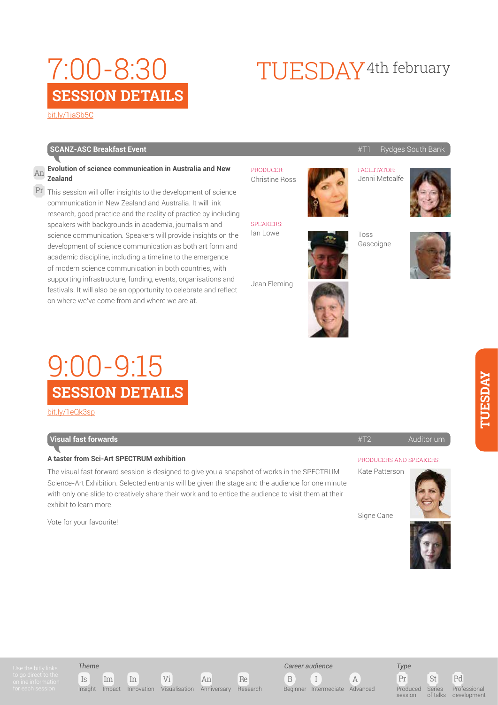#### [bit.ly/1jaSb5C](http://bit.ly/
1jaSb5C)

### **SCANZ-ASC Breakfast Event** #T1 Rydges South Bank

#### **Evolution of science communication in Australia and New Zealand** An

 $\Pr$  This session will offer insights to the development of science communication in New Zealand and Australia. It will link research, good practice and the reality of practice by including speakers with backgrounds in academia, journalism and science communication. Speakers will provide insights on the development of science communication as both art form and academic discipline, including a timeline to the emergence of modern science communication in both countries, with supporting infrastructure, funding, events, organisations and festivals. It will also be an opportunity to celebrate and reflect on where we've come from and where we are at.

## **SESSION DETAILS** 9:00-9:15

[bit.ly/1eQk3sp](http://bit.ly/
1eQk3sp)

## **The Visual fast forwards** #T2 Auditorium Auditorium Auditorium Auditorium Auditorium Auditorium Auditorium Auditorium

### **A taster from Sci-Art SPECTRUM exhibition**

The visual fast forward session is designed to give you a snapshot of works in the SPECTRUM Science-Art Exhibition. Selected entrants will be given the stage and the audience for one minute with only one slide to creatively share their work and to entice the audience to visit them at their exhibit to learn more.

Vote for your favourite!

#### PRODUCER: Christine Ross

SPEAKERS: Ian Lowe

Jean Fleming

## FACILITATOR: Jenni Metcalfe

TUESDAY4th february







#### PRODUCERS AND SPEAKERS:

Kate Patterson



Signe Cane



*Theme*

Is Im In Vi An Re Insight Impact Innovation Visualisation Anniversary Research





Pr St Pd Series  $\frac{1}{2}$ Professional development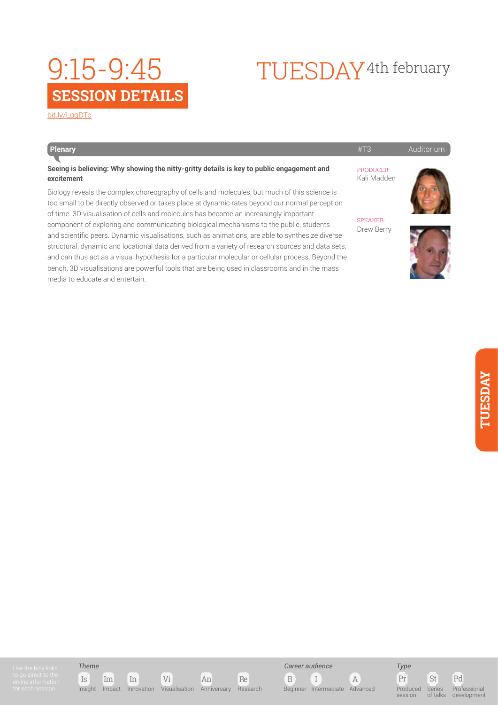## **SESSION DETAILS** 9:15-9:45

## [bit.ly/LpgDTc](http://bit.ly/
LpgDTc)

| Plenary                                                                                                                                                                                                                                                                                                                                                                                                                                                                                                                                                                                                                                                                                                                                                                                                                              | #T3                           | Auditorium |
|--------------------------------------------------------------------------------------------------------------------------------------------------------------------------------------------------------------------------------------------------------------------------------------------------------------------------------------------------------------------------------------------------------------------------------------------------------------------------------------------------------------------------------------------------------------------------------------------------------------------------------------------------------------------------------------------------------------------------------------------------------------------------------------------------------------------------------------|-------------------------------|------------|
| Seeing is believing: Why showing the nitty-gritty details is key to public engagement and<br>excitement                                                                                                                                                                                                                                                                                                                                                                                                                                                                                                                                                                                                                                                                                                                              | PRODUCER:<br>Kali Madden      |            |
| Biology reveals the complex choreography of cells and molecules, but much of this science is<br>too small to be directly observed or takes place at dynamic rates beyond our normal perception<br>of time. 3D visualisation of cells and molecules has become an increasingly important<br>component of exploring and communicating biological mechanisms to the public, students<br>and scientific peers. Dynamic visualisations, such as animations, are able to synthesize diverse<br>structural, dynamic and locational data derived from a variety of research sources and data sets,<br>and can thus act as a visual hypothesis for a particular molecular or cellular process. Beyond the<br>bench, 3D visualisations are powerful tools that are being used in classrooms and in the mass<br>media to educate and entertain. | <b>SPEAKER:</b><br>Drew Berry |            |



TUESDAY4th february



## *Theme*









Pr St Pd Produced session Series of talks Professional development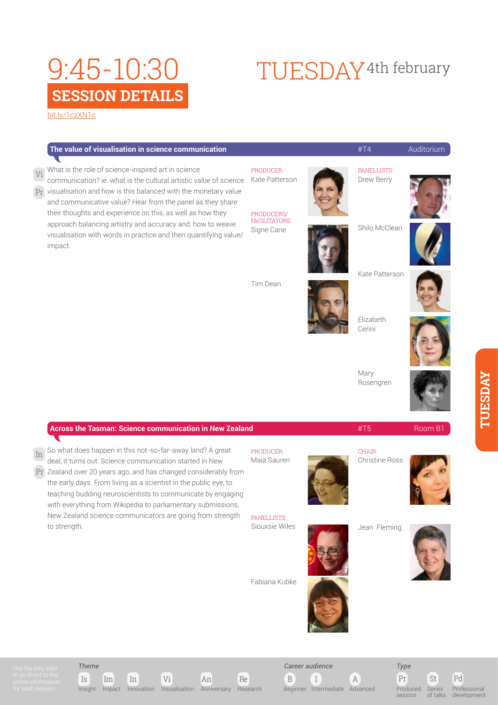# **SESSION DETAILS** 9:45-10:30

[bit.ly/1czXN1c](http://bit.ly/
1czXN1c)

## The value of visualisation in science communication **Auditorium #T4** Auditorium PRODUCER: Kate Patterson PRODUCERS/ FACILITATORS Signe Cane Tim Dean PANELLISTS: Drew Berry Shilo McClean Kate Patterson Elizabeth Cerini Mary Rosengren What is the role of science-inspired art in science communication? ie. what is the cultural artistic value of science  $\Pr$  visualisation and how is this balanced with the monetary value and communicative value? Hear from the panel as they share their thoughts and experience on this, as well as how they approach balancing artistry and accuracy and, how to weave visualisation with words in practice and then quantifying value/ impact. Vi

| <b>Across the Tasman: Science communication in New Zealand</b> |                                                                                                                                                                                                                                                             | #T5                                    | Room B1 |
|----------------------------------------------------------------|-------------------------------------------------------------------------------------------------------------------------------------------------------------------------------------------------------------------------------------------------------------|----------------------------------------|---------|
| PRODUCER:<br>Maia Sauren                                       |                                                                                                                                                                                                                                                             | <b>CHAIR:</b><br><b>Christine Ross</b> |         |
| PANELLISTS:<br>Siouxsie Wiles                                  |                                                                                                                                                                                                                                                             | Jean Fleming                           |         |
| Fabiana Kubke                                                  |                                                                                                                                                                                                                                                             |                                        |         |
|                                                                |                                                                                                                                                                                                                                                             |                                        |         |
|                                                                | Pr Zealand over 20 years ago, and has changed considerably from<br>teaching budding neuroscientists to communicate by engaging<br>with everything from Wikipedia to parliamentary submissions,<br>New Zealand science communicators are going from strength |                                        |         |

*Theme*





B I A *Career audience*

Beginner Intermediate Advanced

Pr St Pd *Type* Produced session Series of talks



TUESDAY<sup>4th</sup> february







**TUESDAY**

**LASSDAY**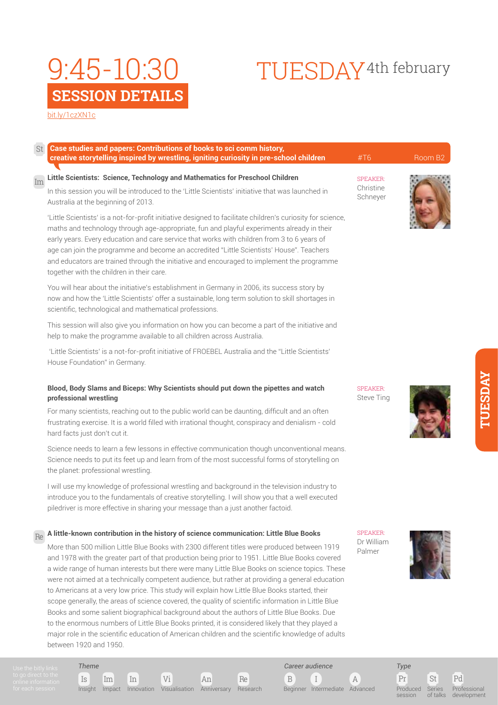# **SESSION DETAILS** 9:45-10:30

#### [bit.ly/1czXN1c](http://bit.ly/
1czXN1c)

| creative storytelling inspired by wrestling, igniting curiosity in pre-school children                                                                                                                                                                                                                                                                                                                                                                                                                                                          | #T6                                      | Room B <sub>2</sub> |
|-------------------------------------------------------------------------------------------------------------------------------------------------------------------------------------------------------------------------------------------------------------------------------------------------------------------------------------------------------------------------------------------------------------------------------------------------------------------------------------------------------------------------------------------------|------------------------------------------|---------------------|
| Little Scientists: Science, Technology and Mathematics for Preschool Children<br>Im<br>In this session you will be introduced to the 'Little Scientists' initiative that was launched in<br>Australia at the beginning of 2013.                                                                                                                                                                                                                                                                                                                 | <b>SPEAKER:</b><br>Christine<br>Schneyer |                     |
| 'Little Scientists' is a not-for-profit initiative designed to facilitate children's curiosity for science,<br>maths and technology through age-appropriate, fun and playful experiments already in their<br>early years. Every education and care service that works with children from 3 to 6 years of<br>age can join the programme and become an accredited "Little Scientists' House". Teachers<br>and educators are trained through the initiative and encouraged to implement the programme<br>together with the children in their care. |                                          |                     |
| You will hear about the initiative's establishment in Germany in 2006, its success story by<br>now and how the 'Little Scientists' offer a sustainable, long term solution to skill shortages in<br>scientific, technological and mathematical professions.                                                                                                                                                                                                                                                                                     |                                          |                     |
| This session will also give you information on how you can become a part of the initiative and<br>help to make the programme available to all children across Australia.                                                                                                                                                                                                                                                                                                                                                                        |                                          |                     |
| 'Little Scientists' is a not-for-profit initiative of FROEBEL Australia and the "Little Scientists"<br>House Foundation" in Germany.                                                                                                                                                                                                                                                                                                                                                                                                            |                                          |                     |
| Blood, Body Slams and Biceps: Why Scientists should put down the pipettes and watch<br>professional wrestling                                                                                                                                                                                                                                                                                                                                                                                                                                   | <b>SPEAKER:</b><br>Steve Ting            |                     |

For many scientists, reaching out to the public world can be daunting, difficult and an often frustrating exercise. It is a world filled with irrational thought, conspiracy and denialism - cold hard facts just don't cut it.

Science needs to learn a few lessons in effective communication though unconventional means. Science needs to put its feet up and learn from of the most successful forms of storytelling on the planet: professional wrestling.

I will use my knowledge of professional wrestling and background in the television industry to introduce you to the fundamentals of creative storytelling. I will show you that a well executed piledriver is more effective in sharing your message than a just another factoid.

## Re A little-known contribution in the history of science communication: Little Blue Books SPEAKER:<br>Da Willia

Is Im In Vi An Re

Insight Impact Innovation Visualisation Anniversary Research

More than 500 million Little Blue Books with 2300 different titles were produced between 1919 and 1978 with the greater part of that production being prior to 1951. Little Blue Books covered a wide range of human interests but there were many Little Blue Books on science topics. These were not aimed at a technically competent audience, but rather at providing a general education to Americans at a very low price. This study will explain how Little Blue Books started, their scope generally, the areas of science covered, the quality of scientific information in Little Blue Books and some salient biographical background about the authors of Little Blue Books. Due to the enormous numbers of Little Blue Books printed, it is considered likely that they played a major role in the scientific education of American children and the scientific knowledge of adults between 1920 and 1950.

Dr William Palmer

B I A

Beginner Intermediate Advanced

*Career audience*



Pr St Pd Produced session Series of talks

*Type*

Professional development

**TUESDAY TUESDAY** 

# TUESDAY4th february

*Theme*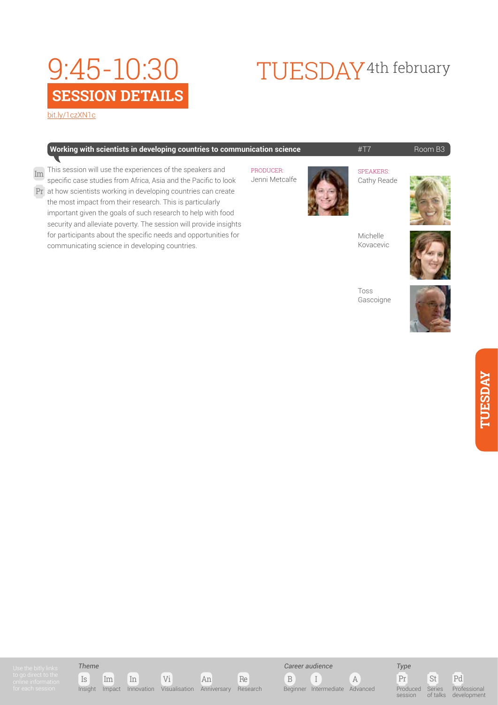# **SESSION DETAILS** 9:45-10:30

[bit.ly/1czXN1c](http://bit.ly/
1czXN1c)

## **Working with scientists in developing countries to communication science**  $\text{HT7} = \text{HT7} \text{ Room B3}$

This session will use the experiences of the speakers and PRODUCER: Im Second Will doe the experiences of the openience drid<br>specific case studies from Africa, Asia and the Pacific to look Jenni Metcalfe Pr at how scientists working in developing countries can create the most impact from their research. This is particularly important given the goals of such research to help with food security and alleviate poverty. The session will provide insights

for participants about the specific needs and opportunities for

communicating science in developing countries.



TUESDAY4th february

**SPEAKERS** Cathy Reade



Michelle Kovacevic



Toss Gascoigne













Pr St Pd Produced session Series of talks Professional development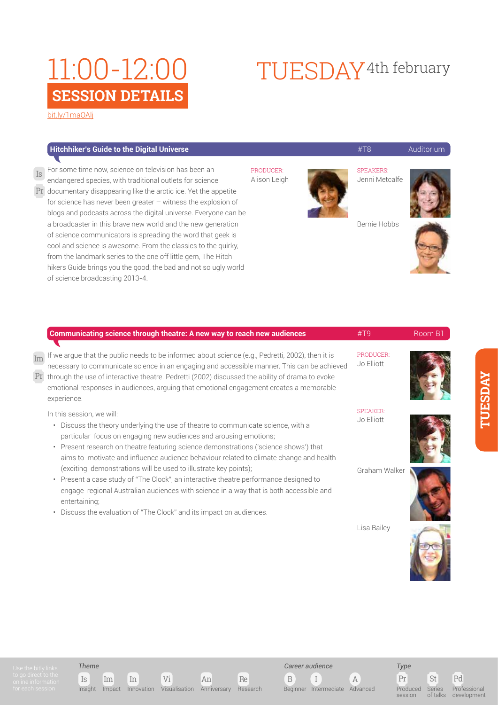[bit.ly/1maOAlj](http://bit.ly/
1maOAlj)

### **Hitchhiker's Guide to the Digital Universe Auditorium** (Auditorium Auditorium Auditorium Auditorium Auditorium

For some time now, science on television has been an Is SPEAKERS: endangered species, with traditional outlets for science Pr documentary disappearing like the arctic ice. Yet the appetite

for science has never been greater – witness the explosion of blogs and podcasts across the digital universe. Everyone can be a broadcaster in this brave new world and the new generation of science communicators is spreading the word that geek is cool and science is awesome. From the classics to the quirky, from the landmark series to the one off little gem, The Hitch hikers Guide brings you the good, the bad and not so ugly world of science broadcasting 2013-4.

PRODUCER: Alison Leigh



Jenni Metcalfe

TUESDAY4th february



Bernie Hobbs



|                                                                                                                | Communicating science through theatre: A new way to reach new audiences                                                                                                                                                                                                                                                                                                                                       | #T9                           | Room B1 |
|----------------------------------------------------------------------------------------------------------------|---------------------------------------------------------------------------------------------------------------------------------------------------------------------------------------------------------------------------------------------------------------------------------------------------------------------------------------------------------------------------------------------------------------|-------------------------------|---------|
| $\operatorname{Im}% \left\{ \mathcal{M}_{1}\right\} =\operatorname{Im}% \left\{ \mathcal{M}_{2}\right\}$<br>Pr | If we argue that the public needs to be informed about science (e.g., Pedretti, 2002), then it is<br>necessary to communicate science in an engaging and accessible manner. This can be achieved<br>through the use of interactive theatre. Pedretti (2002) discussed the ability of drama to evoke<br>emotional responses in audiences, arguing that emotional engagement creates a memorable<br>experience. | PRODUCER:<br>Jo Elliott       |         |
|                                                                                                                | In this session, we will:<br>Discuss the theory underlying the use of theatre to communicate science, with a<br>$\bullet$<br>particular focus on engaging new audiences and arousing emotions;<br>Present research on theatre featuring science demonstrations ('science shows') that<br>$\bullet$<br>aims to motivate and influence audience behaviour related to climate change and health                  | <b>SPEAKER:</b><br>Jo Elliott |         |
|                                                                                                                | (exciting demonstrations will be used to illustrate key points);<br>• Present a case study of "The Clock", an interactive theatre performance designed to<br>engage regional Australian audiences with science in a way that is both accessible and<br>entertaining;<br>Discuss the evaluation of "The Clock" and its impact on audiences.<br>$\bullet$                                                       | Graham Walker                 |         |
|                                                                                                                |                                                                                                                                                                                                                                                                                                                                                                                                               | Lisa Bailey                   |         |



Is Im In Vi An Re Insight Impact Innovation Visualisation Anniversary Research

B I A *Career audience*



Pr St Pd *Type* Produced session Series of talks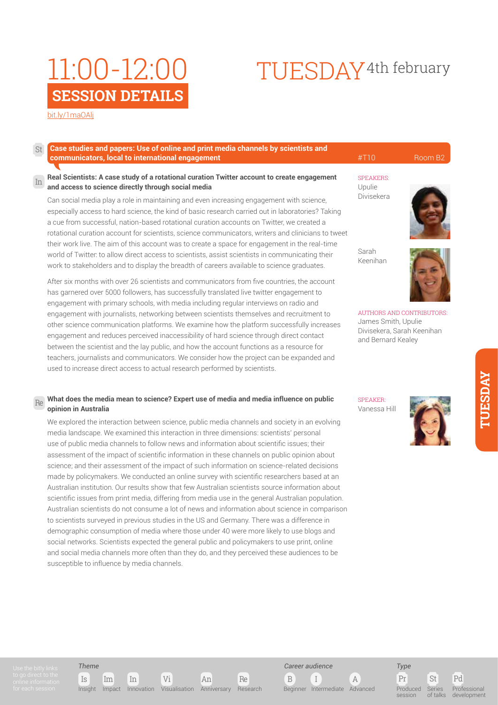## [bit.ly/1maOAlj](http://bit.ly/
1maOAlj)

#### **Case studies and papers: Use of online and print media channels by scientists and communicators, local to international engagement** entries and the set of the set of the set of the set of the Room B2 St

#### **Real Scientists: A case study of a rotational curation Twitter account to create engagement** speakers:<br>In Send access to ceivese directly through assist media **and access to science directly through social media**

Can social media play a role in maintaining and even increasing engagement with science, especially access to hard science, the kind of basic research carried out in laboratories? Taking a cue from successful, nation-based rotational curation accounts on Twitter, we created a rotational curation account for scientists, science communicators, writers and clinicians to tweet their work live. The aim of this account was to create a space for engagement in the real-time world of Twitter: to allow direct access to scientists, assist scientists in communicating their work to stakeholders and to display the breadth of careers available to science graduates.

After six months with over 26 scientists and communicators from five countries, the account has garnered over 5000 followers, has successfully translated live twitter engagement to engagement with primary schools, with media including regular interviews on radio and engagement with journalists, networking between scientists themselves and recruitment to other science communication platforms. We examine how the platform successfully increases engagement and reduces perceived inaccessibility of hard science through direct contact between the scientist and the lay public, and how the account functions as a resource for teachers, journalists and communicators. We consider how the project can be expanded and used to increase direct access to actual research performed by scientists.

#### **Re What does the media mean to science? Expert use of media and media influence on public**  $\frac{SPEAKER}{SPEAKER}$ **opinion in Australia**

We explored the interaction between science, public media channels and society in an evolving media landscape. We examined this interaction in three dimensions: scientists' personal use of public media channels to follow news and information about scientific issues; their assessment of the impact of scientific information in these channels on public opinion about science; and their assessment of the impact of such information on science-related decisions made by policymakers. We conducted an online survey with scientific researchers based at an Australian institution. Our results show that few Australian scientists source information about scientific issues from print media, differing from media use in the general Australian population. Australian scientists do not consume a lot of news and information about science in comparison to scientists surveyed in previous studies in the US and Germany. There was a difference in demographic consumption of media where those under 40 were more likely to use blogs and social networks. Scientists expected the general public and policymakers to use print, online and social media channels more often than they do, and they perceived these audiences to be susceptible to influence by media channels.

## Upulie Divisekera

TUESDAY4th february



Sarah Keenihan



AUTHORS AND CONTRIBUTORS: James Smith, Upulie Divisekera, Sarah Keenihan and Bernard Kealey

Vanessa Hill



## *Theme*



B I A *Career audience* Beginner Intermediate Advanced

*Type* Produced

Pr St Pd session Series of talks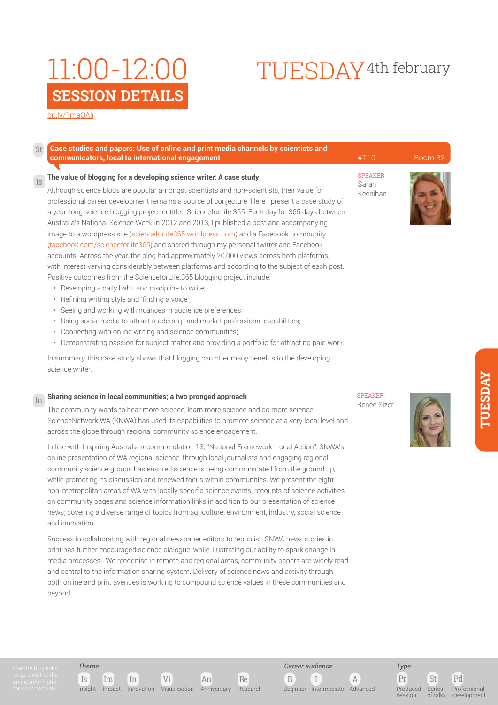#### [bit.ly/1maOAlj](http://bit.ly/
1maOAlj)

St

Is

### **Case studies and papers: Use of online and print media channels by scientists and communicators, local to international engagement** entries and the set of the set of the set of the set of the Room B2

#### **The value of blogging for a developing science writer: A case study**

Although science blogs are popular amongst scientists and non-scientists, their value for professional career development remains a source of conjecture. Here I present a case study of a year-long science blogging project entitled ScienceforLife.365. Each day for 365 days between Australia's National Science Week in 2012 and 2013, I published a post and accompanying image to a wordpress site ([scienceforlife365.wordpress.com](http://scienceforlife365.wordpress.com/)) and a Facebook community [\(facebook.com/scienceforlife365\)](https://www.facebook.com/scienceforlife365) and shared through my personal twitter and Facebook accounts. Across the year, the blog had approximately 20,000 views across both platforms, with interest varying considerably between platforms and according to the subject of each post. Positive outcomes from the ScienceforLife.365 blogging project include:

- Developing a daily habit and discipline to write;
- Refining writing style and 'finding a voice';
- Seeing and working with nuances in audience preferences;
- Using social media to attract readership and market professional capabilities;
- Connecting with online writing and science communities;
- Demonstrating passion for subject matter and providing a portfolio for attracting paid work.

In summary, this case study shows that blogging can offer many benefits to the developing science writer.

## **Sharing science in local communities; a two pronged approach** In SPEAKER:

The community wants to hear more science, learn more science and do more science. ScienceNetwork WA (SNWA) has used its capabilities to promote science at a very local level and across the globe through regional community science engagement.

In line with Inspiring Australia recommendation 13, "National Framework, Local Action", SNWA's online presentation of WA regional science, through local journalists and engaging regional community science groups has ensured science is being communicated from the ground up, while promoting its discussion and renewed focus within communities. We present the eight non-metropolitan areas of WA with locally specific science events, recounts of science activities on community pages and science information links in addition to our presentation of science news; covering a diverse range of topics from agriculture, environment, industry, social science and innovation.

Success in collaborating with regional newspaper editors to republish SNWA news stories in print has further encouraged science dialogue, while illustrating our ability to spark change in media processes. We recognise in remote and regional areas, community papers are widely read and central to the information sharing system. Delivery of science news and activity through both online and print avenues is working to compound science values in these communities and beyond.

Renee Sizer



TUESDAY4th february

SPEAKER: Sarah Keenihan



*Theme*

Is Im In Vi An Re Insight Impact Innovation Visualisation Anniversary Research



*Type*

Pr St Pd Produced session Series of talks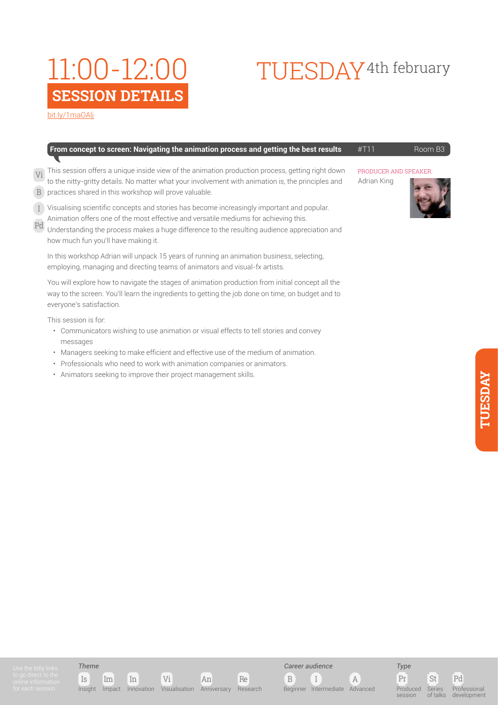# TUESDAY4th february

[bit.ly/1maOAlj](http://bit.ly/
1maOAlj)

| <b>From concept to screen: Navigating the animation process and getting the best results</b> $#T11$ | Room B <sub>3</sub> |
|-----------------------------------------------------------------------------------------------------|---------------------|
|                                                                                                     |                     |

- This session offers a unique inside view of the animation production process, getting right down PRODUCER AND SPEAKER to the nitty-gritty details. No matter what your involvement with animation is, the principles and Vi
- practices shared in this workshop will prove valuable. B
- Visualising scientific concepts and stories has become increasingly important and popular.  $\overline{I}$
- Animation offers one of the most effective and versatile mediums for achieving this. Pd
- Understanding the process makes a huge difference to the resulting audience appreciation and how much fun you'll have making it.

In this workshop Adrian will unpack 15 years of running an animation business, selecting, employing, managing and directing teams of animators and visual-fx artists.

You will explore how to navigate the stages of animation production from initial concept all the way to the screen. You'll learn the ingredients to getting the job done on time, on budget and to everyone's satisfaction.

This session is for:

- Communicators wishing to use animation or visual effects to tell stories and convey messages
- Managers seeking to make efficient and effective use of the medium of animation.
- Professionals who need to work with animation companies or animators.
- Animators seeking to improve their project management skills.

Adrian King



Is Im In Vi An Re Insight Impact Innovation Visualisation Anniversary Research

*Career audience*

B I A Beginner Intermediate Advanced

*Type* Produced

Pr St Pd Professional

session Series of talks

development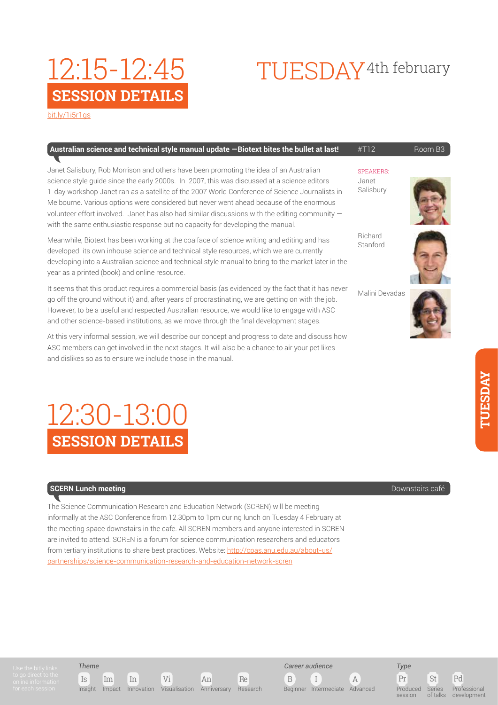# TUESDAY4th february

[bit.ly/1i5r1gs](http://bit.ly/1i5r1gs
)

**SESSION DETAILS**

12:15-12:45

| Australian science and technical style manual update -Biotext bites the bullet at last! |  | Room B <sub>3</sub> |
|-----------------------------------------------------------------------------------------|--|---------------------|
|-----------------------------------------------------------------------------------------|--|---------------------|

Janet Salisbury, Rob Morrison and others have been promoting the idea of an Australian science style guide since the early 2000s. In 2007, this was discussed at a science editors 1-day workshop Janet ran as a satellite of the 2007 World Conference of Science Journalists in Melbourne. Various options were considered but never went ahead because of the enormous volunteer effort involved. Janet has also had similar discussions with the editing community with the same enthusiastic response but no capacity for developing the manual.

Meanwhile, Biotext has been working at the coalface of science writing and editing and has developed its own inhouse science and technical style resources, which we are currently developing into a Australian science and technical style manual to bring to the market later in the year as a printed (book) and online resource.

It seems that this product requires a commercial basis (as evidenced by the fact that it has never go off the ground without it) and, after years of procrastinating, we are getting on with the job. However, to be a useful and respected Australian resource, we would like to engage with ASC and other science-based institutions, as we move through the final development stages.

At this very informal session, we will describe our concept and progress to date and discuss how ASC members can get involved in the next stages. It will also be a chance to air your pet likes and dislikes so as to ensure we include those in the manual.

#### **SPEAKERS** Janet Salisbury



Richard Stanford



Malini Devadas



## **SESSION DETAILS** 12:30-13:00

## **SCERN Lunch meeting** Downstairs café

The Science Communication Research and Education Network (SCREN) will be meeting informally at the ASC Conference from 12.30pm to 1pm during lunch on Tuesday 4 February at the meeting space downstairs in the cafe. All SCREN members and anyone interested in SCREN are invited to attend. SCREN is a forum for science communication researchers and educators from tertiary institutions to share best practices. Website: [http://cpas.anu.edu.au/about-us/](http://cpas.anu.edu.au/about-us/partnerships/science-communication-research-and-education-network-scren) [partnerships/science-communication-research-and-education-network-scren](http://cpas.anu.edu.au/about-us/partnerships/science-communication-research-and-education-network-scren)



## *Theme*



B I A Beginner Intermediate Advanced

*Career audience*

*Type*

Pr St Pd Produced session Series of talks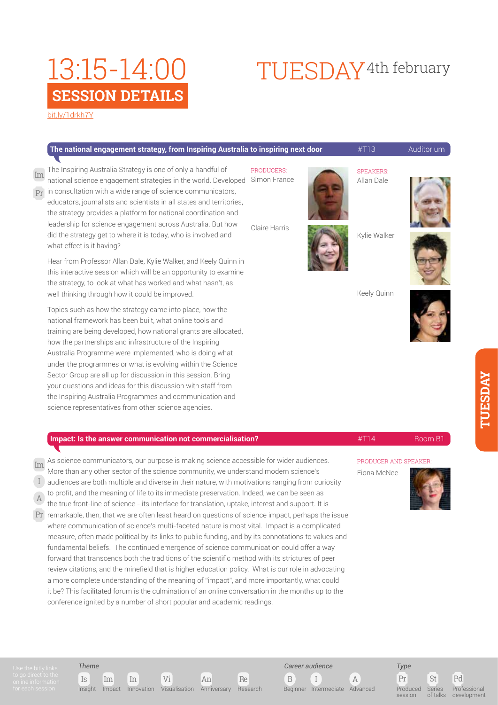#### [bit.ly/1drkh7Y](http://bit.ly/
1drkh7Y)

#### **The national engagement strategy, from Inspiring Australia to inspiring next door <b>#T13** Auditorium

**PRODUCERS** national science engagement strategies in the world. Developed Simon France The Inspiring Australia Strategy is one of only a handful of  $\Pr$  in consultation with a wide range of science communicators, Im

educators, journalists and scientists in all states and territories, the strategy provides a platform for national coordination and leadership for science engagement across Australia. But how did the strategy get to where it is today, who is involved and what effect is it having?

Hear from Professor Allan Dale, Kylie Walker, and Keely Quinn in this interactive session which will be an opportunity to examine the strategy, to look at what has worked and what hasn't, as well thinking through how it could be improved.

Topics such as how the strategy came into place, how the national framework has been built, what online tools and training are being developed, how national grants are allocated, how the partnerships and infrastructure of the Inspiring Australia Programme were implemented, who is doing what under the programmes or what is evolving within the Science Sector Group are all up for discussion in this session. Bring your questions and ideas for this discussion with staff from the Inspiring Australia Programmes and communication and science representatives from other science agencies.

### **Impact: Is the answer communication not commercialisation?** #T14 Room B1

- As science communicators, our purpose is making science accessible for wider audiences. More than any other sector of the science community, we understand modern science's Im
	- audiences are both multiple and diverse in their nature, with motivations ranging from curiosity
- to profit, and the meaning of life to its immediate preservation. Indeed, we can be seen as I
- the true front-line of science its interface for translation, uptake, interest and support. It is A
- $Pr$  remarkable, then, that we are often least heard on questions of science impact, perhaps the issue  $\overline{\phantom{I}}$ where communication of science's multi-faceted nature is most vital. Impact is a complicated measure, often made political by its links to public funding, and by its connotations to values and fundamental beliefs. The continued emergence of science communication could offer a way forward that transcends both the traditions of the scientific method with its strictures of peer review citations, and the minefield that is higher education policy. What is our role in advocating a more complete understanding of the meaning of "impact", and more importantly, what could it be? This facilitated forum is the culmination of an online conversation in the months up to the conference ignited by a number of short popular and academic readings.

Is Im In Vi An Re

Insight Impact Innovation Visualisation Anniversary Research

*Theme*

Keely Quinn



PRODUCER AND SPEAKER:

Fiona McNee





B I A

Beginner Intermediate Advanced

*Career audience*



of talks

session

Professional development

Claire Harris

TUESDAY4th february



SPEAKERS: Allan Dale

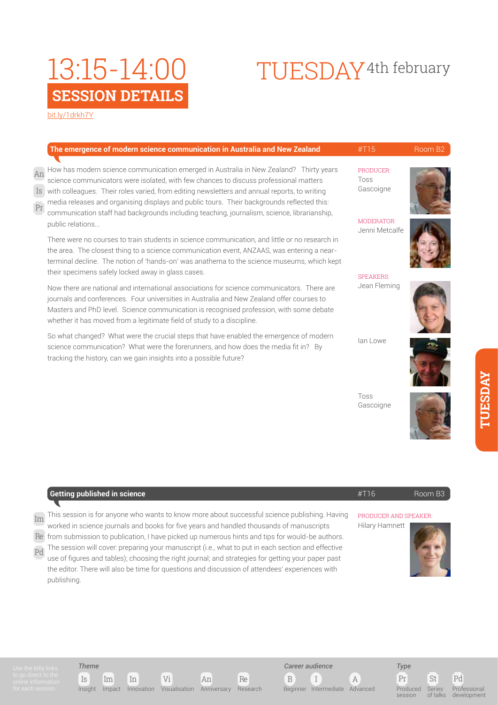# TUESDAY<sup>4th</sup> february

[bit.ly/1drkh7Y](http://bit.ly/
1drkh7Y)

|          | The emergence of modern science communication in Australia and New Zealand                                                                                                                                                                                                                                                                                                                                                                                                      | #T15                             | Room B <sub>2</sub> |
|----------|---------------------------------------------------------------------------------------------------------------------------------------------------------------------------------------------------------------------------------------------------------------------------------------------------------------------------------------------------------------------------------------------------------------------------------------------------------------------------------|----------------------------------|---------------------|
| An<br>Pr | How has modern science communication emerged in Australia in New Zealand? Thirty years<br>science communicators were isolated, with few chances to discuss professional matters<br>Is with colleagues. Their roles varied, from editing newsletters and annual reports, to writing<br>media releases and organising displays and public tours. Their backgrounds reflected this:<br>communication staff had backgrounds including teaching, journalism, science, librarianship, | PRODUCER:<br>Toss<br>Gascoigne   |                     |
|          | public relations<br>There were no courses to train students in science communication, and little or no research in<br>the area. The closest thing to a science communication event, ANZAAS, was entering a near-<br>terminal decline. The notion of 'hands-on' was anathema to the science museums, which kept                                                                                                                                                                  | MODERATOR:<br>Jenni Metcalfe     |                     |
|          | their specimens safely locked away in glass cases.<br>Now there are national and international associations for science communicators. There are<br>journals and conferences. Four universities in Australia and New Zealand offer courses to<br>Masters and PhD level. Science communication is recognised profession, with some debate<br>whether it has moved from a legitimate field of study to a discipline.                                                              | <b>SPEAKERS:</b><br>Jean Fleming |                     |
|          | A contract the contract of Miller Concert the contract the contract of the contract of concerted and the forma                                                                                                                                                                                                                                                                                                                                                                  |                                  |                     |

So what changed? What were the crucial steps that have enabled the emergence of modern science communication? What were the forerunners, and how does the media fit in? By tracking the history, can we gain insights into a possible future?

Ian Lowe



Toss Gascoigne



|    | Getting published in science                                                                      | #T16                  | Boom B <sub>3</sub> |
|----|---------------------------------------------------------------------------------------------------|-----------------------|---------------------|
|    |                                                                                                   |                       |                     |
| Im | This session is for anyone who wants to know more about successful science publishing. Having     | PRODUCER AND SPEAKER: |                     |
|    | worked in science journals and books for five years and handled thousands of manuscripts          | Hilary Hamnett        |                     |
|    | Re from submission to publication, I have picked up numerous hints and tips for would-be authors. |                       |                     |



Pd

*Theme*

publishing.

Is Im In Vi An Re Insight Impact Innovation Visualisation Anniversary Research

The session will cover: preparing your manuscript (i.e., what to put in each section and effective use of figures and tables); choosing the right journal; and strategies for getting your paper past the editor. There will also be time for questions and discussion of attendees' experiences with

B I A *Career audience*

Beginner Intermediate Advanced

Pr St Pd *Type* Produced session

of talks Professional development

Series

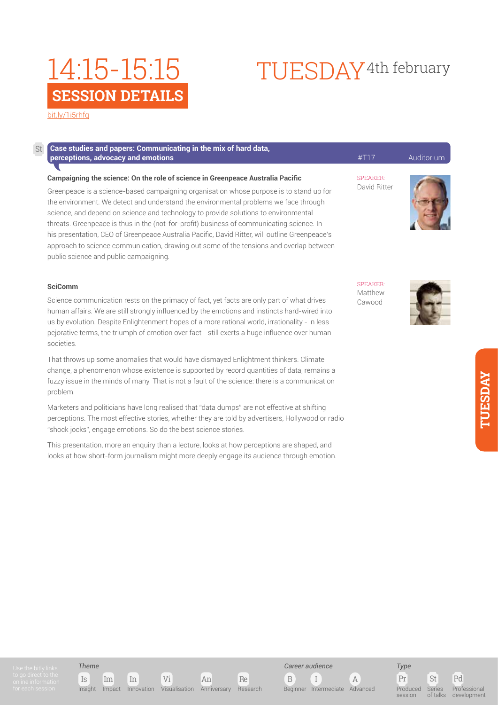[bit.ly/1i5rhfq](http://bit.ly/
1i5rhfq)

#### **Case studies and papers: Communicating in the mix of hard data, perceptions, advocacy and emotions Auditorium Auditorium 2008** SPEAKER: David Ritter SPEAKER: Matthew Cawood **Campaigning the science: On the role of science in Greenpeace Australia Pacific** Greenpeace is a science-based campaigning organisation whose purpose is to stand up for the environment. We detect and understand the environmental problems we face through science, and depend on science and technology to provide solutions to environmental threats. Greenpeace is thus in the (not-for-profit) business of communicating science. In his presentation, CEO of Greenpeace Australia Pacific, David Ritter, will outline Greenpeace's approach to science communication, drawing out some of the tensions and overlap between public science and public campaigning. **SciComm** Science communication rests on the primacy of fact, yet facts are only part of what drives St

human affairs. We are still strongly influenced by the emotions and instincts hard-wired into us by evolution. Despite Enlightenment hopes of a more rational world, irrationality - in less pejorative terms, the triumph of emotion over fact - still exerts a huge influence over human societies.

That throws up some anomalies that would have dismayed Enlightment thinkers. Climate change, a phenomenon whose existence is supported by record quantities of data, remains a fuzzy issue in the minds of many. That is not a fault of the science: there is a communication problem.

Marketers and politicians have long realised that "data dumps" are not effective at shifting perceptions. The most effective stories, whether they are told by advertisers, Hollywood or radio "shock jocks", engage emotions. So do the best science stories.

This presentation, more an enquiry than a lecture, looks at how perceptions are shaped, and looks at how short-form journalism might more deeply engage its audience through emotion.

TUESDAY4th february





Pr St Pd Series of talks Professional development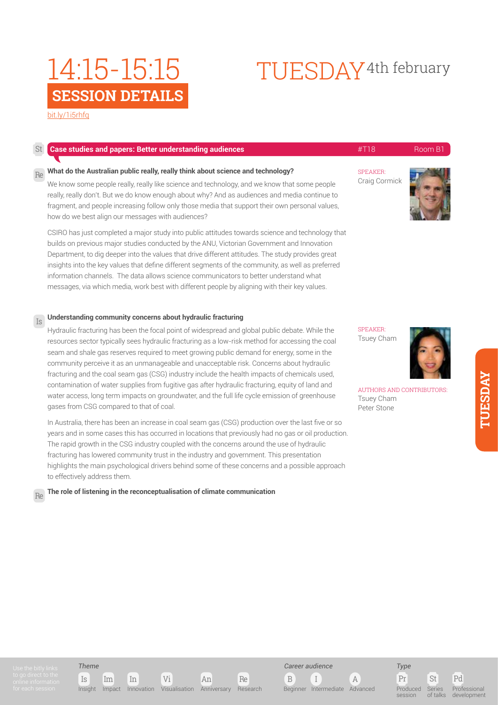# TUESDAY4th february

[bit.ly/1i5rhfq](http://bit.ly/
1i5rhfq)

| St | <b>Case studies and papers: Better understanding audiences</b>                                                                                                                                                                                                                                                                                                                                                                                                                                                                                                                                                                                                                                                                                   | #T18                                                                                           | Room B1 |
|----|--------------------------------------------------------------------------------------------------------------------------------------------------------------------------------------------------------------------------------------------------------------------------------------------------------------------------------------------------------------------------------------------------------------------------------------------------------------------------------------------------------------------------------------------------------------------------------------------------------------------------------------------------------------------------------------------------------------------------------------------------|------------------------------------------------------------------------------------------------|---------|
| Re | What do the Australian public really, really think about science and technology?<br>We know some people really, really like science and technology, and we know that some people<br>really, really don't. But we do know enough about why? And as audiences and media continue to<br>fragment, and people increasing follow only those media that support their own personal values,<br>how do we best align our messages with audiences?                                                                                                                                                                                                                                                                                                        | <b>SPEAKER:</b><br>Craig Cormick                                                               |         |
|    | CSIRO has just completed a major study into public attitudes towards science and technology that<br>builds on previous major studies conducted by the ANU, Victorian Government and Innovation<br>Department, to dig deeper into the values that drive different attitudes. The study provides great<br>insights into the key values that define different segments of the community, as well as preferred<br>information channels. The data allows science communicators to better understand what<br>messages, via which media, work best with different people by aligning with their key values.                                                                                                                                             |                                                                                                |         |
| Is | Understanding community concerns about hydraulic fracturing                                                                                                                                                                                                                                                                                                                                                                                                                                                                                                                                                                                                                                                                                      |                                                                                                |         |
|    | Hydraulic fracturing has been the focal point of widespread and global public debate. While the<br>resources sector typically sees hydraulic fracturing as a low-risk method for accessing the coal<br>seam and shale gas reserves required to meet growing public demand for energy, some in the<br>community perceive it as an unmanageable and unacceptable risk. Concerns about hydraulic<br>fracturing and the coal seam gas (CSG) industry include the health impacts of chemicals used,<br>contamination of water supplies from fugitive gas after hydraulic fracturing, equity of land and<br>water access, long term impacts on groundwater, and the full life cycle emission of greenhouse<br>gases from CSG compared to that of coal. | <b>SPEAKER:</b><br>Tsuey Cham<br>AUTHORS AND CONTRIBUTORS:<br><b>Tsuey Cham</b><br>Peter Stone |         |
|    | In Australia, there has been an increase in coal seam gas (CSG) production over the last five or so<br>years and in some cases this has occurred in locations that previously had no gas or oil production.<br>The rapid growth in the CSG industry coupled with the concerns around the use of hydraulic<br>fracturing has lowered community trust in the industry and government. This presentation<br>highlights the main psychological drivers behind some of these concerns and a possible approach                                                                                                                                                                                                                                         |                                                                                                |         |

to effectively address them.

Re

**The role of listening in the reconceptualisation of climate communication**

*Theme*

Is Im In Vi An Re Insight Impact Innovation Visualisation Anniversary Research



Pr St Pd *Type* Produced **session** Series of talks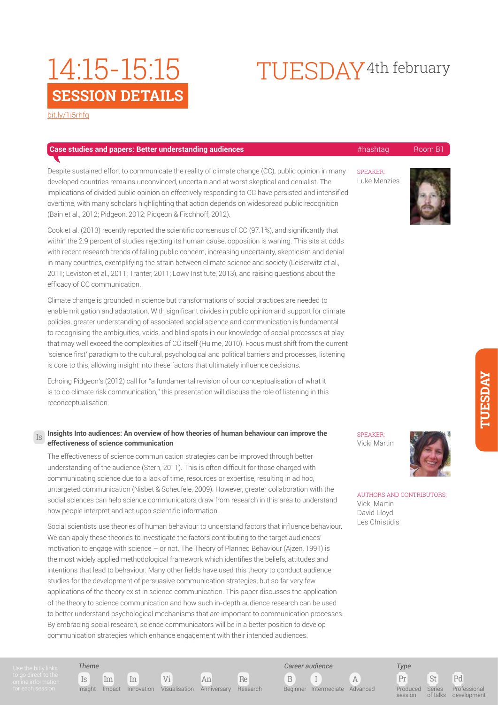# TUESDAY4th february

[bit.ly/1i5rhfq](http://bit.ly/
1i5rhfq)

## **Case studies and papers: Better understanding audiences All and Case of the All and All and All and Room B1**

Despite sustained effort to communicate the reality of climate change (CC), public opinion in many developed countries remains unconvinced, uncertain and at worst skeptical and denialist. The implications of divided public opinion on effectively responding to CC have persisted and intensified overtime, with many scholars highlighting that action depends on widespread public recognition (Bain et al., 2012; Pidgeon, 2012; Pidgeon & Fischhoff, 2012).

Cook et al. (2013) recently reported the scientific consensus of CC (97.1%), and significantly that within the 2.9 percent of studies rejecting its human cause, opposition is waning. This sits at odds with recent research trends of falling public concern, increasing uncertainty, skepticism and denial in many countries, exemplifying the strain between climate science and society (Leiserwitz et al., 2011; Leviston et al., 2011; Tranter, 2011; Lowy Institute, 2013), and raising questions about the efficacy of CC communication.

Climate change is grounded in science but transformations of social practices are needed to enable mitigation and adaptation. With significant divides in public opinion and support for climate policies, greater understanding of associated social science and communication is fundamental to recognising the ambiguities, voids, and blind spots in our knowledge of social processes at play that may well exceed the complexities of CC itself (Hulme, 2010). Focus must shift from the current 'science first' paradigm to the cultural, psychological and political barriers and processes, listening is core to this, allowing insight into these factors that ultimately influence decisions.

Echoing Pidgeon's (2012) call for "a fundamental revision of our conceptualisation of what it is to do climate risk communication," this presentation will discuss the role of listening in this reconceptualisation.

### **Insights Into audiences: An overview of how theories of human behaviour can improve the effectiveness of science communication**

The effectiveness of science communication strategies can be improved through better understanding of the audience (Stern, 2011). This is often difficult for those charged with communicating science due to a lack of time, resources or expertise, resulting in ad hoc, untargeted communication (Nisbet & Scheufele, 2009). However, greater collaboration with the social sciences can help science communicators draw from research in this area to understand how people interpret and act upon scientific information.

Social scientists use theories of human behaviour to understand factors that influence behaviour. We can apply these theories to investigate the factors contributing to the target audiences' motivation to engage with science – or not. The Theory of Planned Behaviour (Ajzen, 1991) is the most widely applied methodological framework which identifies the beliefs, attitudes and intentions that lead to behaviour. Many other fields have used this theory to conduct audience studies for the development of persuasive communication strategies, but so far very few applications of the theory exist in science communication. This paper discusses the application of the theory to science communication and how such in-depth audience research can be used to better understand psychological mechanisms that are important to communication processes. By embracing social research, science communicators will be in a better position to develop communication strategies which enhance engagement with their intended audiences.

SPEAKER: Luke Menzies



SPEAKER: Vicki Martin



AUTHORS AND CONTRIBUTORS: Vicki Martin David Lloyd Les Christidis

Is

*Theme*

Pr St Pd Produced Series

 $\frac{1}{2}$ 

*Type*

session

Professional development

Is Im In Vi An Re Insight Impact Innovation Visualisation Anniversary Research

B I A Beginner Intermediate Advanced

*Career audience*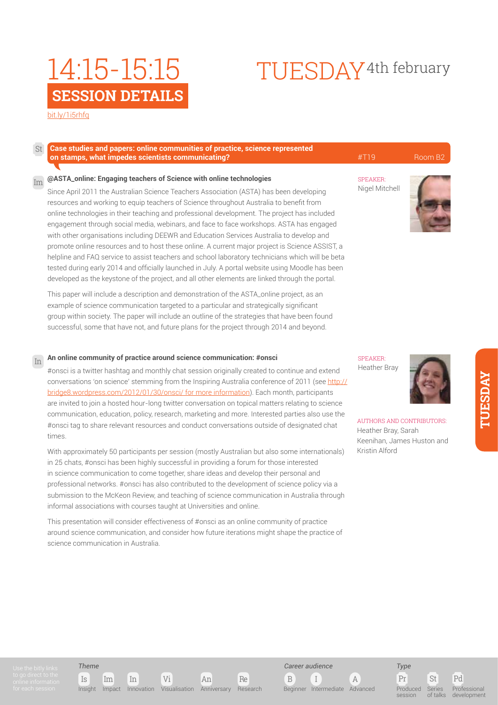#### [bit.ly/1i5rhfq](http://bit.ly/
1i5rhfq)

#### **Case studies and papers: online communities of practice, science represented on stamps, what impedes scientists communicating? All and State Communicating and All and All and All and All and B2** Room B2 St

#### **@ASTA\_online: Engaging teachers of Science with online technologies** Im

Since April 2011 the Australian Science Teachers Association (ASTA) has been developing resources and working to equip teachers of Science throughout Australia to benefit from online technologies in their teaching and professional development. The project has included engagement through social media, webinars, and face to face workshops. ASTA has engaged with other organisations including DEEWR and Education Services Australia to develop and promote online resources and to host these online. A current major project is Science ASSIST, a helpline and FAQ service to assist teachers and school laboratory technicians which will be beta tested during early 2014 and officially launched in July. A portal website using Moodle has been developed as the keystone of the project, and all other elements are linked through the portal.

This paper will include a description and demonstration of the ASTA\_online project, as an example of science communication targeted to a particular and strategically significant group within society. The paper will include an outline of the strategies that have been found successful, some that have not, and future plans for the project through 2014 and beyond.

#### **An online community of practice around science communication: #onsci** In

#onsci is a twitter hashtag and monthly chat session originally created to continue and extend conversations 'on science' stemming from the Inspiring Australia conference of 2011 (see [http://](http://bridge8.wordpress.com/2012/01/30/onsci/ for more information) [bridge8.wordpress.com/2012/01/30/onsci/ for more information\)](http://bridge8.wordpress.com/2012/01/30/onsci/ for more information). Each month, participants are invited to join a hosted hour-long twitter conversation on topical matters relating to science communication, education, policy, research, marketing and more. Interested parties also use the #onsci tag to share relevant resources and conduct conversations outside of designated chat times.

With approximately 50 participants per session (mostly Australian but also some internationals) in 25 chats, #onsci has been highly successful in providing a forum for those interested in science communication to come together, share ideas and develop their personal and professional networks. #onsci has also contributed to the development of science policy via a submission to the McKeon Review, and teaching of science communication in Australia through informal associations with courses taught at Universities and online.

This presentation will consider effectiveness of #onsci as an online community of practice around science communication, and consider how future iterations might shape the practice of science communication in Australia.

### **SPEAKER** Heather Bray



AUTHORS AND CONTRIBUTORS: Heather Bray, Sarah Keenihan, James Huston and Kristin Alford



TUESDAY4th february



## *Theme*

Insight Impact Innovation Visualisation Anniversary Research

Is Im In Vi An Re



Beginner Intermediate Advanced

Pr St Pd *Type* Produced session Series of talks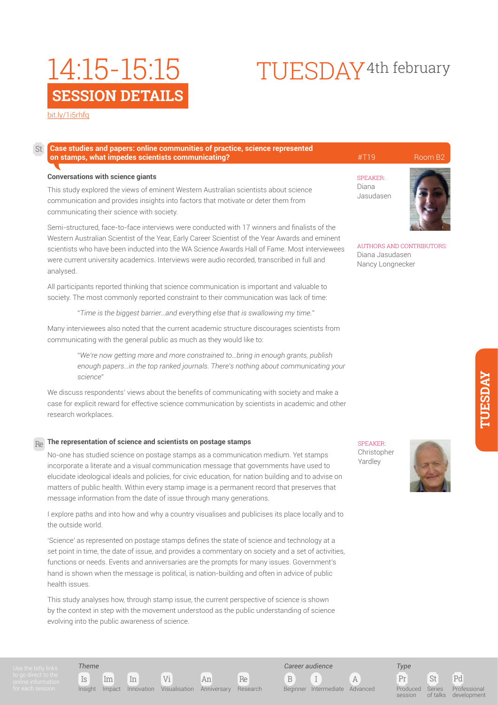## [bit.ly/1i5rhfq](http://bit.ly/
1i5rhfq)

St

### **Case studies and papers: online communities of practice, science represented on stamps, what impedes scientists communicating? All and State Communicating and All and All and All and All and B2** Room B2

#### **Conversations with science giants**

This study explored the views of eminent Western Australian scientists about science communication and provides insights into factors that motivate or deter them from communicating their science with society.

Semi-structured, face-to-face interviews were conducted with 17 winners and finalists of the Western Australian Scientist of the Year, Early Career Scientist of the Year Awards and eminent scientists who have been inducted into the WA Science Awards Hall of Fame. Most interviewees were current university academics. Interviews were audio recorded, transcribed in full and analysed.

All participants reported thinking that science communication is important and valuable to society. The most commonly reported constraint to their communication was lack of time:

"*Time is the biggest barrier…and everything else that is swallowing my time.*"

Many interviewees also noted that the current academic structure discourages scientists from communicating with the general public as much as they would like to:

> "*We're now getting more and more constrained to…bring in enough grants, publish enough papers…in the top ranked journals. There's nothing about communicating your science*"

We discuss respondents' views about the benefits of communicating with society and make a case for explicit reward for effective science communication by scientists in academic and other research workplaces.

## **The representation of science and scientists on postage stamps** Re

No-one has studied science on postage stamps as a communication medium. Yet stamps incorporate a literate and a visual communication message that governments have used to elucidate ideological ideals and policies, for civic education, for nation building and to advise on matters of public health. Within every stamp image is a permanent record that preserves that message information from the date of issue through many generations.

I explore paths and into how and why a country visualises and publicises its place locally and to the outside world.

'Science' as represented on postage stamps defines the state of science and technology at a set point in time, the date of issue, and provides a commentary on society and a set of activities, functions or needs. Events and anniversaries are the prompts for many issues. Government's hand is shown when the message is political, is nation-building and often in advice of public health issues.

This study analyses how, through stamp issue, the current perspective of science is shown by the context in step with the movement understood as the public understanding of science evolving into the public awareness of science.

SPEAKER:

TUESDAY4th february

Diana Jasudasen



AUTHORS AND CONTRIBUTORS: Diana Jasudasen Nancy Longnecker

**SPEAKER** Christopher Yardley



Pr St Pd Series of talks

Professional development

*Theme*

Is Im In Vi An Re

Insight Impact Innovation Visualisation Anniversary Research

B I A

*Career audience*

Beginner Intermediate Advanced

session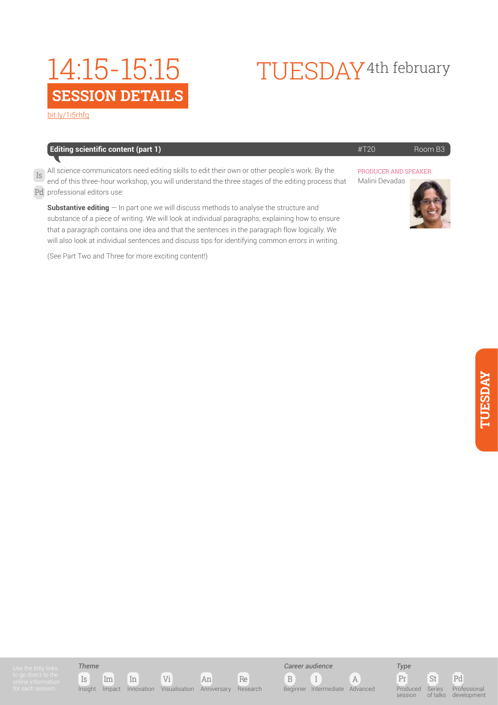# TUESDAY4th february

[bit.ly/1i5rhfq](http://bit.ly/
1i5rhfq)

| <b>Editing scientific content (part 1)</b>                                                                                                                                                                                                                                                                                                                                                                | #T20                                    | Room B3 |
|-----------------------------------------------------------------------------------------------------------------------------------------------------------------------------------------------------------------------------------------------------------------------------------------------------------------------------------------------------------------------------------------------------------|-----------------------------------------|---------|
| All science communicators need editing skills to edit their own or other people's work. By the<br>end of this three-hour workshop, you will understand the three stages of the editing process that<br>Pd professional editors use:                                                                                                                                                                       | PRODUCER AND SPEAKER:<br>Malini Devadas |         |
| <b>Substantive editing</b> $-$ In part one we will discuss methods to analyse the structure and<br>substance of a piece of writing. We will look at individual paragraphs, explaining how to ensure<br>that a paragraph contains one idea and that the sentences in the paragraph flow logically. We<br>will also look at individual sentences and discuss tips for identifying common errors in writing. |                                         |         |
| (See Part Two and Three for more exciting content!)                                                                                                                                                                                                                                                                                                                                                       |                                         |         |

TUESDAY **TUESDAY**







Series of talks Professional development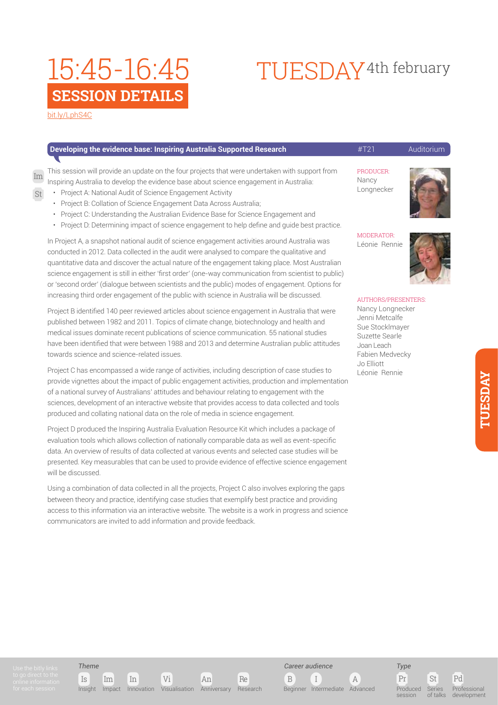## **SESSION DETAILS** 15:45-16:45

# TUESDAY4th february

[bit.ly/LphS4C](http://bit.ly/
LphS4C)

Im

St

| Developing the evidence base: Inspiring Australia Supported Research                                                                                                                                                                                                                                                                                                                                                                                                                                                             | #T21                                                                         | Auditorium |
|----------------------------------------------------------------------------------------------------------------------------------------------------------------------------------------------------------------------------------------------------------------------------------------------------------------------------------------------------------------------------------------------------------------------------------------------------------------------------------------------------------------------------------|------------------------------------------------------------------------------|------------|
| This session will provide an update on the four projects that were undertaken with support from<br>Inspiring Australia to develop the evidence base about science engagement in Australia:<br>Project A: National Audit of Science Engagement Activity<br>Project B: Collation of Science Engagement Data Across Australia;<br>Project C: Understanding the Australian Evidence Base for Science Engagement and<br>$\bullet$<br>Project D: Determining impact of science engagement to help define and quide best practice.<br>٠ | PRODUCER:<br>Nancy<br>Longnecker                                             |            |
| In Project A, a snapshot national audit of science engagement activities around Australia was<br>conducted in 2012. Data collected in the audit were analysed to compare the qualitative and<br>quantitative data and discover the actual nature of the engagement taking place. Most Australian<br>science engagement is still in either 'first order' (one-way communication from scientist to public)<br>or 'second order' (dialogue between scientists and the public) modes of engagement. Options for                      | <b>MODERATOR:</b><br>Léonie Rennie                                           |            |
| increasing third order engagement of the public with science in Australia will be discussed.<br>Project B identified 140 peer reviewed articles about science engagement in Australia that were<br>published between 1982 and 2011. Topics of climate change, biotechnology and health and                                                                                                                                                                                                                                       | AUTHORS/PRESENTERS:<br>Nancy Longnecker<br>Jenni Metcalfe<br>Cup Ctoollmough |            |

medical issues dominate recent publications of science communication. 55 national studies have been identified that were between 1988 and 2013 and determine Australian public attitudes towards science and science-related issues.

Project C has encompassed a wide range of activities, including description of case studies to provide vignettes about the impact of public engagement activities, production and implementation of a national survey of Australians' attitudes and behaviour relating to engagement with the sciences, development of an interactive website that provides access to data collected and tools produced and collating national data on the role of media in science engagement.

Project D produced the Inspiring Australia Evaluation Resource Kit which includes a package of evaluation tools which allows collection of nationally comparable data as well as event-specific data. An overview of results of data collected at various events and selected case studies will be presented. Key measurables that can be used to provide evidence of effective science engagement will be discussed.

Using a combination of data collected in all the projects, Project C also involves exploring the gaps between theory and practice, identifying case studies that exemplify best practice and providing access to this information via an interactive website. The website is a work in progress and science communicators are invited to add information and provide feedback.

Sue Stocklmayer Suzette Searle Joan Leach Fabien Medvecky Jo Elliott Léonie Rennie

*Theme*

Is Im In Vi An Re Insight Impact Innovation Visualisation Anniversary Research

B I A *Career audience* Beginner Intermediate Advanced



Pr St Pd Produced session Series  $\frac{1}{2}$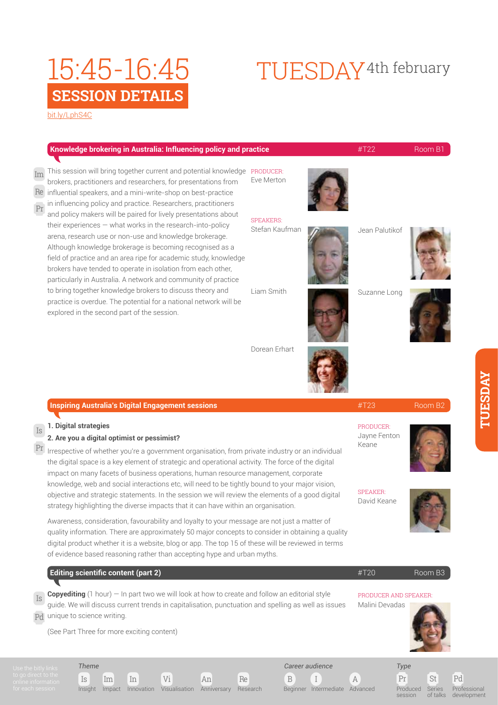## **SESSION DETAILS** 15:45-16:45

### [bit.ly/LphS4C](http://bit.ly/
LphS4C)

|                              | Knowledge brokering in Australia: Influencing policy and practice                                                                                                                                                                                                                                                                                                                                                                                                       |                                    |  | #T22                                    | Room B1 |
|------------------------------|-------------------------------------------------------------------------------------------------------------------------------------------------------------------------------------------------------------------------------------------------------------------------------------------------------------------------------------------------------------------------------------------------------------------------------------------------------------------------|------------------------------------|--|-----------------------------------------|---------|
| Im<br>Re<br>Pr               | This session will bring together current and potential knowledge PRODUCER:<br>brokers, practitioners and researchers, for presentations from<br>influential speakers, and a mini-write-shop on best-practice<br>in influencing policy and practice. Researchers, practitioners                                                                                                                                                                                          | Eve Merton                         |  |                                         |         |
|                              | and policy makers will be paired for lively presentations about<br>their experiences - what works in the research-into-policy<br>arena, research use or non-use and knowledge brokerage.<br>Although knowledge brokerage is becoming recognised as a<br>field of practice and an area ripe for academic study, knowledge<br>brokers have tended to operate in isolation from each other,<br>particularly in Australia. A network and community of practice              | <b>SPEAKERS:</b><br>Stefan Kaufman |  | Jean Palutikof                          |         |
|                              | to bring together knowledge brokers to discuss theory and<br>practice is overdue. The potential for a national network will be<br>explored in the second part of the session.                                                                                                                                                                                                                                                                                           | Liam Smith                         |  | Suzanne Long                            |         |
|                              |                                                                                                                                                                                                                                                                                                                                                                                                                                                                         | Dorean Erhart                      |  |                                         |         |
|                              | <b>Inspiring Australia's Digital Engagement sessions</b>                                                                                                                                                                                                                                                                                                                                                                                                                |                                    |  | #T23                                    | Room B2 |
| $\mathbb{I}\mathbf{S}$<br>Pr | 1. Digital strategies<br>2. Are you a digital optimist or pessimist?<br>Irrespective of whether you're a government organisation, from private industry or an individual<br>the digital space is a key element of strategic and operational activity. The force of the digital<br>impact on many facets of business operations, human resource management, corporate<br>knowledge, web and social interactions etc, will need to be tightly bound to your major vision, |                                    |  | PRODUCER:<br>Jayne Fenton<br>Keane      |         |
|                              | objective and strategic statements. In the session we will review the elements of a good digital<br>strategy highlighting the diverse impacts that it can have within an organisation.                                                                                                                                                                                                                                                                                  |                                    |  | <b>SPEAKER:</b><br>David Keane          |         |
|                              | Awareness, consideration, favourability and loyalty to your message are not just a matter of<br>quality information. There are approximately 50 major concepts to consider in obtaining a quality<br>digital product whether it is a website, blog or app. The top 15 of these will be reviewed in terms<br>of evidence based reasoning rather than accepting hype and urban myths.                                                                                     |                                    |  |                                         |         |
|                              | <b>Editing scientific content (part 2)</b>                                                                                                                                                                                                                                                                                                                                                                                                                              |                                    |  | #T20                                    | Room B3 |
| Is                           | <b>Copyediting</b> $(1 \text{ hour}) - \text{In part two we will look at how to create and follow an editorial style$<br>guide. We will discuss current trends in capitalisation, punctuation and spelling as well as issues<br>Pd unique to science writing.                                                                                                                                                                                                           |                                    |  | PRODUCER AND SPEAKER:<br>Malini Devadas |         |

(See Part Three for more exciting content)

Is Im In Vi An Re *Theme* Insight Impact Innovation Visualisation Anniversary Research



 $\begin{array}{ccc} \mathbf{B} & \mathbf{I} \end{array}$ 

Beginner Intermediate Advanced

*Career audience*

Pr St Pd Produced session

Series of talks Professional development

# TUESDAY4th february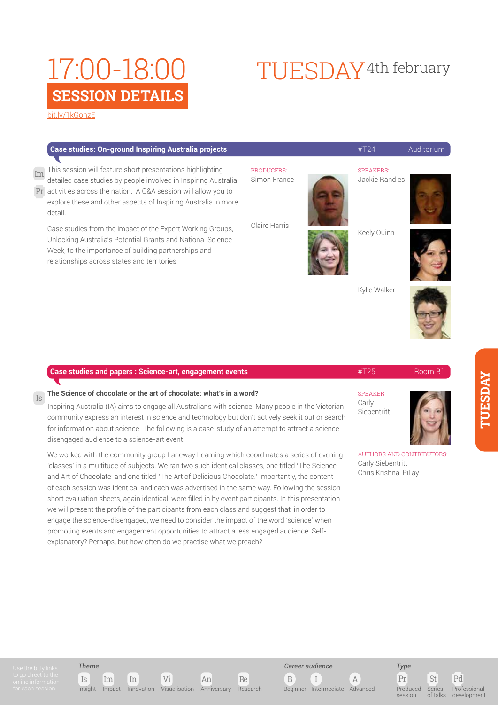#### [bit.ly/1kGonzE](http://bit.ly/
1kGonzE)

Is

| Case studies: On-ground Inspiring Australia projects | $\#T24$ | Auditorium |
|------------------------------------------------------|---------|------------|
|------------------------------------------------------|---------|------------|

This session will feature short presentations highlighting detailed case studies by people involved in Inspiring Australia activities across the nation. A Q&A session will allow you to Pr explore these and other aspects of Inspiring Australia in more detail. Im

Case studies from the impact of the Expert Working Groups, Unlocking Australia's Potential Grants and National Science Week, to the importance of building partnerships and relationships across states and territories.

#### **PRODUCERS** Simon France

Claire Harris

Keely Quinn

**SPEAKERS** Jackie Randles

TUESDAY4th february



Kylie Walker



### **Case studies and papers : Science-art, engagement events According the Case of the AT25** Room B1

#### **The Science of chocolate or the art of chocolate: what's in a word?**

Inspiring Australia (IA) aims to engage all Australians with science. Many people in the Victorian community express an interest in science and technology but don't actively seek it out or search for information about science. The following is a case-study of an attempt to attract a sciencedisengaged audience to a science-art event.

We worked with the community group Laneway Learning which coordinates a series of evening 'classes' in a multitude of subjects. We ran two such identical classes, one titled 'The Science and Art of Chocolate' and one titled 'The Art of Delicious Chocolate.' Importantly, the content of each session was identical and each was advertised in the same way. Following the session short evaluation sheets, again identical, were filled in by event participants. In this presentation we will present the profile of the participants from each class and suggest that, in order to engage the science-disengaged, we need to consider the impact of the word 'science' when promoting events and engagement opportunities to attract a less engaged audience. Selfexplanatory? Perhaps, but how often do we practise what we preach?

SPEAKER:

Carly Siebentritt



AUTHORS AND CONTRIBUTORS: Carly Siebentritt Chris Krishna-Pillay

*Theme*







Pr St Pd Produced Series  $\frac{1}{2}$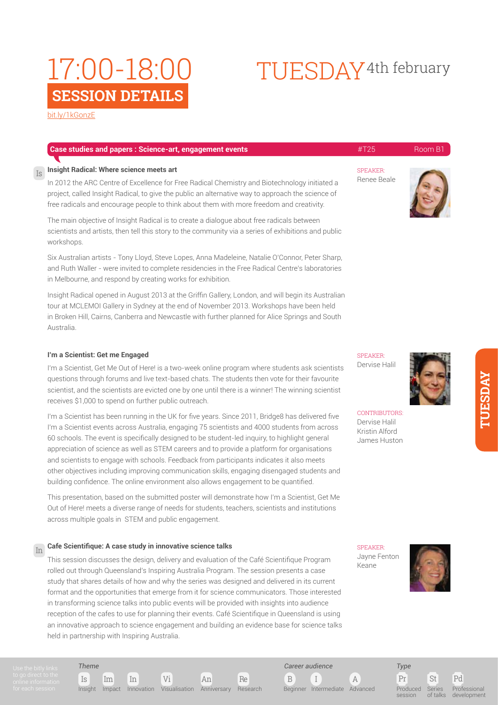# TUESDAY4th february

[bit.ly/1kGonzE](http://bit.ly/
1kGonzE)

Is

| <b>Case studies and papers: Science-art, engagement events</b>                                                                                                                                                                                                                                                                             | #T25                           | Room B1 |
|--------------------------------------------------------------------------------------------------------------------------------------------------------------------------------------------------------------------------------------------------------------------------------------------------------------------------------------------|--------------------------------|---------|
| Insight Radical: Where science meets art<br>In 2012 the ARC Centre of Excellence for Free Radical Chemistry and Biotechnology initiated a<br>project, called Insight Radical, to give the public an alternative way to approach the science of<br>free radicals and encourage people to think about them with more freedom and creativity. | <b>SPEAKER:</b><br>Renee Beale |         |
| The main objective of Insight Radical is to create a dialogue about free radicals between<br>scientists and artists, then tell this story to the community via a series of exhibitions and public<br>workshops.                                                                                                                            |                                |         |
| Six Australian artists - Tony Lloyd, Steve Lopes, Anna Madeleine, Natalie O'Connor, Peter Sharp,<br>and Ruth Waller - were invited to complete residencies in the Free Radical Centre's laboratories<br>in Melbourne, and respond by creating works for exhibition.                                                                        |                                |         |
| Insight Radical opened in August 2013 at the Griffin Gallery, London, and will begin its Australian<br>tour at MCLEMOI Gallery in Sydney at the end of November 2013. Workshops have been held<br>in Broken Hill, Cairns, Canberra and Newcastle with further planned for Alice Springs and South                                          |                                |         |

**I'm a Scientist: Get me Engaged**

Australia.

I'm a Scientist, Get Me Out of Here! is a two-week online program where students ask scientists questions through forums and live text-based chats. The students then vote for their favourite scientist, and the scientists are evicted one by one until there is a winner! The winning scientist receives \$1,000 to spend on further public outreach.

I'm a Scientist has been running in the UK for five years. Since 2011, Bridge8 has delivered five I'm a Scientist events across Australia, engaging 75 scientists and 4000 students from across 60 schools. The event is specifically designed to be student-led inquiry, to highlight general appreciation of science as well as STEM careers and to provide a platform for organisations and scientists to engage with schools. Feedback from participants indicates it also meets other objectives including improving communication skills, engaging disengaged students and building confidence. The online environment also allows engagement to be quantified.

This presentation, based on the submitted poster will demonstrate how I'm a Scientist, Get Me Out of Here! meets a diverse range of needs for students, teachers, scientists and institutions across multiple goals in STEM and public engagement.

#### **Cafe Scientifique: A case study in innovative science talks** In

This session discusses the design, delivery and evaluation of the Café Scientifique Program rolled out through Queensland's Inspiring Australia Program. The session presents a case study that shares details of how and why the series was designed and delivered in its current format and the opportunities that emerge from it for science communicators. Those interested in transforming science talks into public events will be provided with insights into audience reception of the cafes to use for planning their events. Café Scientifique in Queensland is using an innovative approach to science engagement and building an evidence base for science talks held in partnership with Inspiring Australia.

> B I A *Career audience*

Beginner Intermediate Advanced

Pr St Pd *Type* Produced

session

Professional development

Series of talks

SPEAKER: Dervise Halil



CONTRIBUTORS: Dervise Halil Kristin Alford James Huston

SPEAKER: Jayne Fenton Keane





*Theme*

Is Im In Vi An Re Insight Impact Innovation Visualisation Anniversary Research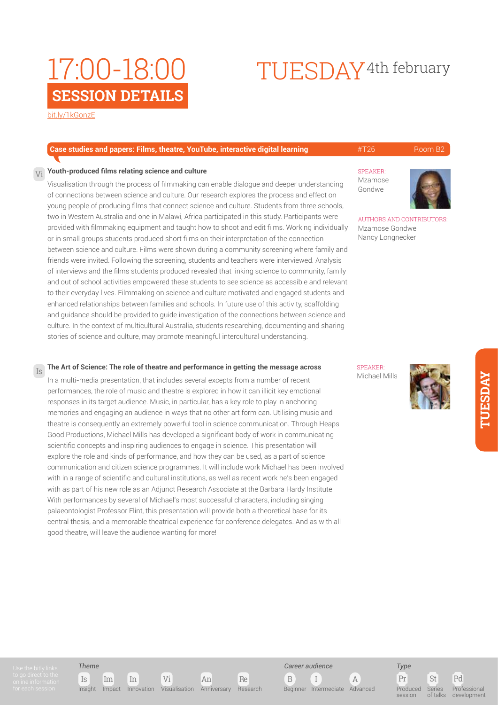# TUESDAY4th february

[bit.ly/1kGonzE](http://bit.ly/
1kGonzE)

#### **Case studies and papers: Films, theatre, YouTube, interactive digital learning**  $\#T26$  **Room B2**

**SPEAKER** Mzamose Gondwe

AUTHORS AND CONTRIBUTORS:

Mzamose Gondwe Nancy Longnecker

#### **Youth-produced films relating science and culture**  $V_i$

Visualisation through the process of filmmaking can enable dialogue and deeper understanding of connections between science and culture. Our research explores the process and effect on young people of producing films that connect science and culture. Students from three schools, two in Western Australia and one in Malawi, Africa participated in this study. Participants were provided with filmmaking equipment and taught how to shoot and edit films. Working individually or in small groups students produced short films on their interpretation of the connection between science and culture. Films were shown during a community screening where family and friends were invited. Following the screening, students and teachers were interviewed. Analysis of interviews and the films students produced revealed that linking science to community, family and out of school activities empowered these students to see science as accessible and relevant to their everyday lives. Filmmaking on science and culture motivated and engaged students and enhanced relationships between families and schools. In future use of this activity, scaffolding and guidance should be provided to guide investigation of the connections between science and culture. In the context of multicultural Australia, students researching, documenting and sharing stories of science and culture, may promote meaningful intercultural understanding.

#### **The Art of Science: The role of theatre and performance in getting the message across**

In a multi-media presentation, that includes several excepts from a number of recent performances, the role of music and theatre is explored in how it can illicit key emotional responses in its target audience. Music, in particular, has a key role to play in anchoring memories and engaging an audience in ways that no other art form can. Utilising music and theatre is consequently an extremely powerful tool in science communication. Through Heaps Good Productions, Michael Mills has developed a significant body of work in communicating scientific concepts and inspiring audiences to engage in science. This presentation will explore the role and kinds of performance, and how they can be used, as a part of science communication and citizen science programmes. It will include work Michael has been involved with in a range of scientific and cultural institutions, as well as recent work he's been engaged with as part of his new role as an Adjunct Research Associate at the Barbara Hardy Institute. With performances by several of Michael's most successful characters, including singing palaeontologist Professor Flint, this presentation will provide both a theoretical base for its central thesis, and a memorable theatrical experience for conference delegates. And as with all good theatre, will leave the audience wanting for more!

SPEAKER: Michael Mills



**TUESDAY TUESDAY** 

Is

*Theme*

Is Im In Vi An Re Insight Impact Innovation Visualisation Anniversary Research





session

Pr St Pd Series of talks Professional development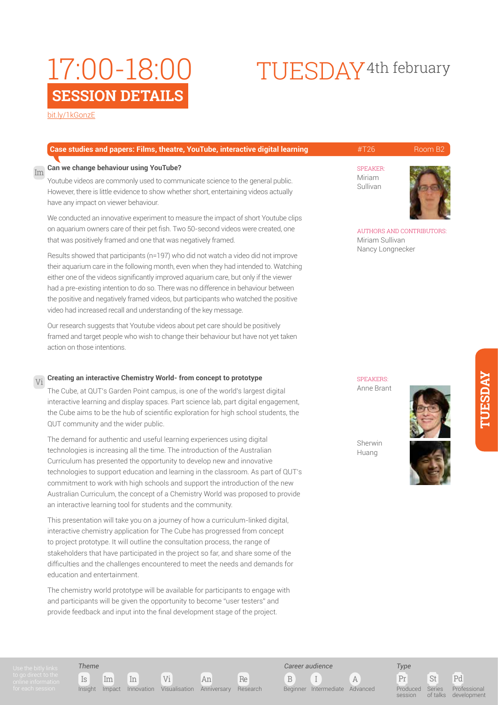# TUESDAY4th february

[bit.ly/1kGonzE](http://bit.ly/
1kGonzE)

|    | Case studies and papers: Films, theatre, YouTube, interactive digital learning                                                                                                                                                                                                                                                                             | #T26                                         | Room B <sub>2</sub> |  |
|----|------------------------------------------------------------------------------------------------------------------------------------------------------------------------------------------------------------------------------------------------------------------------------------------------------------------------------------------------------------|----------------------------------------------|---------------------|--|
| Im | Can we change behaviour using YouTube?                                                                                                                                                                                                                                                                                                                     | <b>SPEAKER:</b>                              |                     |  |
|    | Youtube videos are commonly used to communicate science to the general public.<br>However, there is little evidence to show whether short, entertaining videos actually<br>have any impact on viewer behaviour.                                                                                                                                            | Miriam<br>Sullivan                           |                     |  |
|    | We conducted an innovative experiment to measure the impact of short Youtube clips<br>on aquarium owners care of their pet fish. Two 50-second videos were created, one<br>that was positively framed and one that was negatively framed.                                                                                                                  | AUTHORS AND CONTRIBUTORS:<br>Miriam Sullivan |                     |  |
|    | Results showed that participants (n=197) who did not watch a video did not improve<br>their aquarium care in the following month, even when they had intended to. Watching<br>either one of the videos significantly improved aquarium care, but only if the viewer<br>had a pre-existing intention to do so. There was no difference in behaviour between | Nancy Longnecker                             |                     |  |
|    | the positive and negatively framed videos, but participants who watched the positive<br>video had increased recall and understanding of the key message.                                                                                                                                                                                                   |                                              |                     |  |

Our research suggests that Youtube videos about pet care should be positively framed and target people who wish to change their behaviour but have not yet taken action on those intentions.

#### **Creating an interactive Chemistry World- from concept to prototype** Vi

The Cube, at QUT's Garden Point campus, is one of the world's largest digital interactive learning and display spaces. Part science lab, part digital engagement, the Cube aims to be the hub of scientific exploration for high school students, the QUT community and the wider public.

The demand for authentic and useful learning experiences using digital technologies is increasing all the time. The introduction of the Australian Curriculum has presented the opportunity to develop new and innovative technologies to support education and learning in the classroom. As part of QUT's commitment to work with high schools and support the introduction of the new Australian Curriculum, the concept of a Chemistry World was proposed to provide an interactive learning tool for students and the community.

This presentation will take you on a journey of how a curriculum-linked digital, interactive chemistry application for The Cube has progressed from concept to project prototype. It will outline the consultation process, the range of stakeholders that have participated in the project so far, and share some of the difficulties and the challenges encountered to meet the needs and demands for education and entertainment.

The chemistry world prototype will be available for participants to engage with and participants will be given the opportunity to become "user testers" and provide feedback and input into the final development stage of the project.

**SPEAKERS:** Anne Brant



**TUESDAY**

**TUESDAY** 

Sherwin Huang

*Type*

session

Series of talks

*Theme*

Is Im In Vi An Re Insight Impact Innovation Visualisation Anniversary Research

B I A *Career audience*